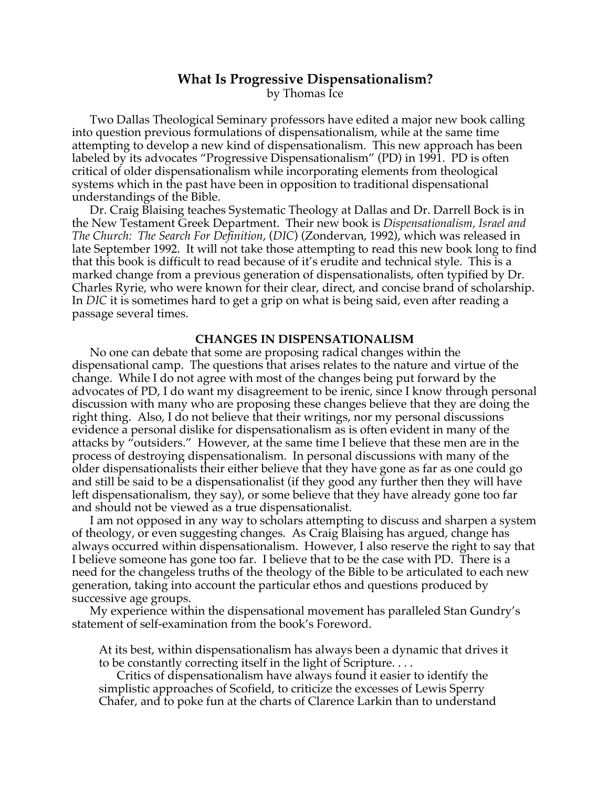# **What Is Progressive Dispensationalism?**

by Thomas Ice

Two Dallas Theological Seminary professors have edited a major new book calling into question previous formulations of dispensationalism, while at the same time attempting to develop a new kind of dispensationalism. This new approach has been labeled by its advocates "Progressive Dispensationalism" (PD) in 1991. PD is often critical of older dispensationalism while incorporating elements from theological systems which in the past have been in opposition to traditional dispensational understandings of the Bible.

Dr. Craig Blaising teaches Systematic Theology at Dallas and Dr. Darrell Bock is in the New Testament Greek Department. Their new book is *Dispensationalism, Israel and The Church: The Search For Definition*, (*DIC*) (Zondervan, 1992), which was released in late September 1992. It will not take those attempting to read this new book long to find that this book is difficult to read because of it's erudite and technical style. This is a marked change from a previous generation of dispensationalists, often typified by Dr. Charles Ryrie, who were known for their clear, direct, and concise brand of scholarship. In *DIC* it is sometimes hard to get a grip on what is being said, even after reading a passage several times.

## **CHANGES IN DISPENSATIONALISM**

No one can debate that some are proposing radical changes within the dispensational camp. The questions that arises relates to the nature and virtue of the change. While I do not agree with most of the changes being put forward by the advocates of PD, I do want my disagreement to be irenic, since I know through personal discussion with many who are proposing these changes believe that they are doing the right thing. Also, I do not believe that their writings, nor my personal discussions evidence a personal dislike for dispensationalism as is often evident in many of the attacks by "outsiders." However, at the same time I believe that these men are in the process of destroying dispensationalism. In personal discussions with many of the older dispensationalists their either believe that they have gone as far as one could go and still be said to be a dispensationalist (if they good any further then they will have left dispensationalism, they say), or some believe that they have already gone too far and should not be viewed as a true dispensationalist.

I am not opposed in any way to scholars attempting to discuss and sharpen a system of theology, or even suggesting changes. As Craig Blaising has argued, change has always occurred within dispensationalism. However, I also reserve the right to say that I believe someone has gone too far. I believe that to be the case with PD. There is a need for the changeless truths of the theology of the Bible to be articulated to each new generation, taking into account the particular ethos and questions produced by successive age groups.

My experience within the dispensational movement has paralleled Stan Gundry's statement of self-examination from the book's Foreword.

At its best, within dispensationalism has always been a dynamic that drives it to be constantly correcting itself in the light of Scripture. . . .

Critics of dispensationalism have always found it easier to identify the simplistic approaches of Scofield, to criticize the excesses of Lewis Sperry Chafer, and to poke fun at the charts of Clarence Larkin than to understand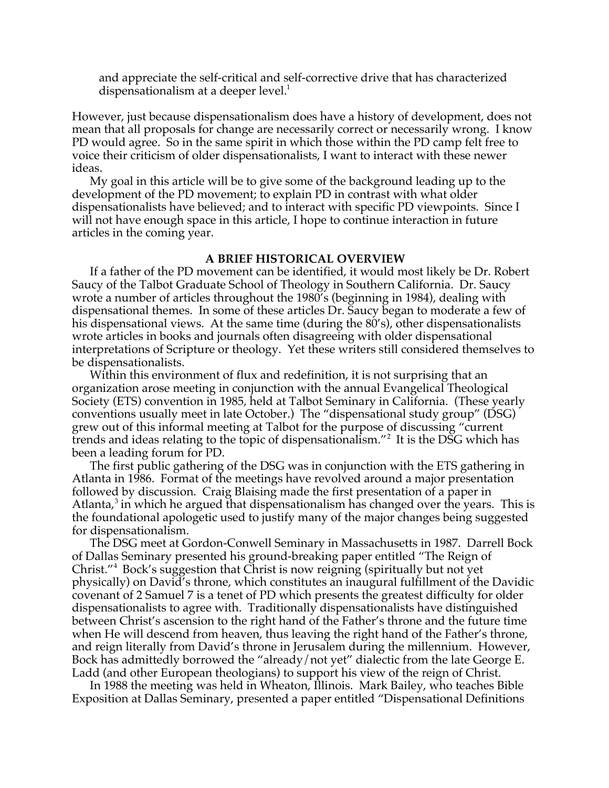and appreciate the self-critical and self-corrective drive that has characterized dispensationalism at a deeper level.<sup>1</sup>

However, just because dispensationalism does have a history of development, does not mean that all proposals for change are necessarily correct or necessarily wrong. I know PD would agree. So in the same spirit in which those within the PD camp felt free to voice their criticism of older dispensationalists, I want to interact with these newer ideas.

My goal in this article will be to give some of the background leading up to the development of the PD movement; to explain PD in contrast with what older dispensationalists have believed; and to interact with specific PD viewpoints. Since I will not have enough space in this article, I hope to continue interaction in future articles in the coming year.

## **A BRIEF HISTORICAL OVERVIEW**

If a father of the PD movement can be identified, it would most likely be Dr. Robert Saucy of the Talbot Graduate School of Theology in Southern California. Dr. Saucy wrote a number of articles throughout the 1980's (beginning in 1984), dealing with dispensational themes. In some of these articles Dr. Saucy began to moderate a few of his dispensational views. At the same time (during the 80's), other dispensationalists wrote articles in books and journals often disagreeing with older dispensational interpretations of Scripture or theology. Yet these writers still considered themselves to be dispensationalists.

Within this environment of flux and redefinition, it is not surprising that an organization arose meeting in conjunction with the annual Evangelical Theological Society (ETS) convention in 1985, held at Talbot Seminary in California. (These yearly conventions usually meet in late October.) The "dispensational study group" (DSG) grew out of this informal meeting at Talbot for the purpose of discussing "current trends and ideas relating to the topic of dispensationalism."<sup>2</sup> It is the DSG which has been a leading forum for PD.

The first public gathering of the DSG was in conjunction with the ETS gathering in Atlanta in 1986. Format of the meetings have revolved around a major presentation followed by discussion. Craig Blaising made the first presentation of a paper in Atlanta, $3$  in which he argued that dispensationalism has changed over the years. This is the foundational apologetic used to justify many of the major changes being suggested for dispensationalism.

The DSG meet at Gordon-Conwell Seminary in Massachusetts in 1987. Darrell Bock of Dallas Seminary presented his ground-breaking paper entitled "The Reign of Christ."<sup>4</sup> Bock's suggestion that Christ is now reigning (spiritually but not yet physically) on David's throne, which constitutes an inaugural fulfillment of the Davidic covenant of 2 Samuel 7 is a tenet of PD which presents the greatest difficulty for older dispensationalists to agree with. Traditionally dispensationalists have distinguished between Christ's ascension to the right hand of the Father's throne and the future time when He will descend from heaven, thus leaving the right hand of the Father's throne, and reign literally from David's throne in Jerusalem during the millennium. However, Bock has admittedly borrowed the "already/not yet" dialectic from the late George E. Ladd (and other European theologians) to support his view of the reign of Christ.

In 1988 the meeting was held in Wheaton, Illinois. Mark Bailey, who teaches Bible Exposition at Dallas Seminary, presented a paper entitled "Dispensational Definitions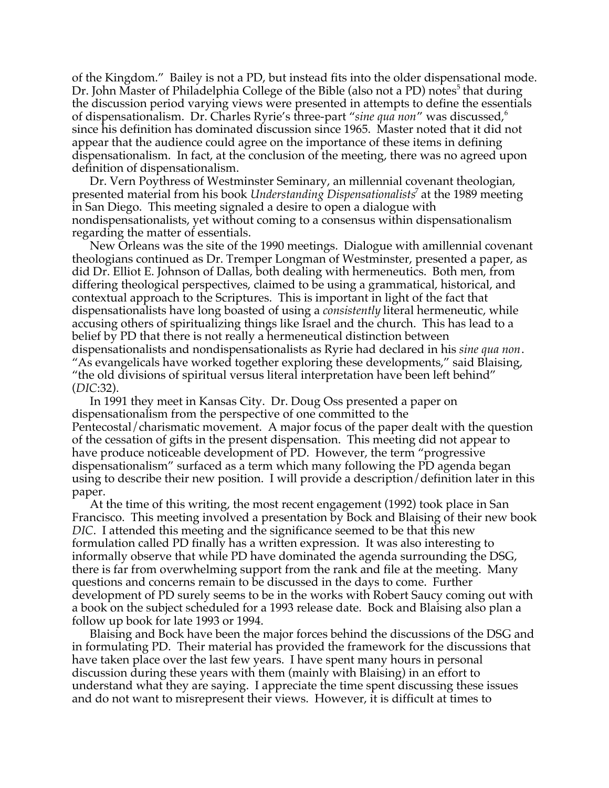of the Kingdom." Bailey is not a PD, but instead fits into the older dispensational mode. Dr. John Master of Philadelphia College of the Bible (also not a PD) notes<sup>5</sup> that during the discussion period varying views were presented in attempts to define the essentials of dispensationalism. Dr. Charles Ryrie's three-part "*sine qua non*" was discussed,<sup>6</sup> since his definition has dominated discussion since 1965. Master noted that it did not appear that the audience could agree on the importance of these items in defining dispensationalism. In fact, at the conclusion of the meeting, there was no agreed upon definition of dispensationalism.

Dr. Vern Poythress of Westminster Seminary, an millennial covenant theologian, presented material from his book *Understanding Dispensationalists*<sup>7</sup> at the 1989 meeting in San Diego. This meeting signaled a desire to open a dialogue with nondispensationalists, yet without coming to a consensus within dispensationalism regarding the matter of essentials.

New Orleans was the site of the 1990 meetings. Dialogue with amillennial covenant theologians continued as Dr. Tremper Longman of Westminster, presented a paper, as did Dr. Elliot E. Johnson of Dallas, both dealing with hermeneutics. Both men, from differing theological perspectives, claimed to be using a grammatical, historical, and contextual approach to the Scriptures. This is important in light of the fact that dispensationalists have long boasted of using a *consistently* literal hermeneutic, while accusing others of spiritualizing things like Israel and the church. This has lead to a belief by PD that there is not really a hermeneutical distinction between dispensationalists and nondispensationalists as Ryrie had declared in his *sine qua non*. "As evangelicals have worked together exploring these developments," said Blaising, "the old divisions of spiritual versus literal interpretation have been left behind" (*DIC*:32).

In 1991 they meet in Kansas City. Dr. Doug Oss presented a paper on dispensationalism from the perspective of one committed to the Pentecostal/charismatic movement. A major focus of the paper dealt with the question of the cessation of gifts in the present dispensation. This meeting did not appear to have produce noticeable development of PD. However, the term "progressive dispensationalism" surfaced as a term which many following the PD agenda began using to describe their new position. I will provide a description/definition later in this paper.

At the time of this writing, the most recent engagement (1992) took place in San Francisco. This meeting involved a presentation by Bock and Blaising of their new book *DIC*. I attended this meeting and the significance seemed to be that this new formulation called PD finally has a written expression. It was also interesting to informally observe that while PD have dominated the agenda surrounding the DSG, there is far from overwhelming support from the rank and file at the meeting. Many questions and concerns remain to be discussed in the days to come. Further development of PD surely seems to be in the works with Robert Saucy coming out with a book on the subject scheduled for a 1993 release date. Bock and Blaising also plan a follow up book for late 1993 or 1994.

Blaising and Bock have been the major forces behind the discussions of the DSG and in formulating PD. Their material has provided the framework for the discussions that have taken place over the last few years. I have spent many hours in personal discussion during these years with them (mainly with Blaising) in an effort to understand what they are saying. I appreciate the time spent discussing these issues and do not want to misrepresent their views. However, it is difficult at times to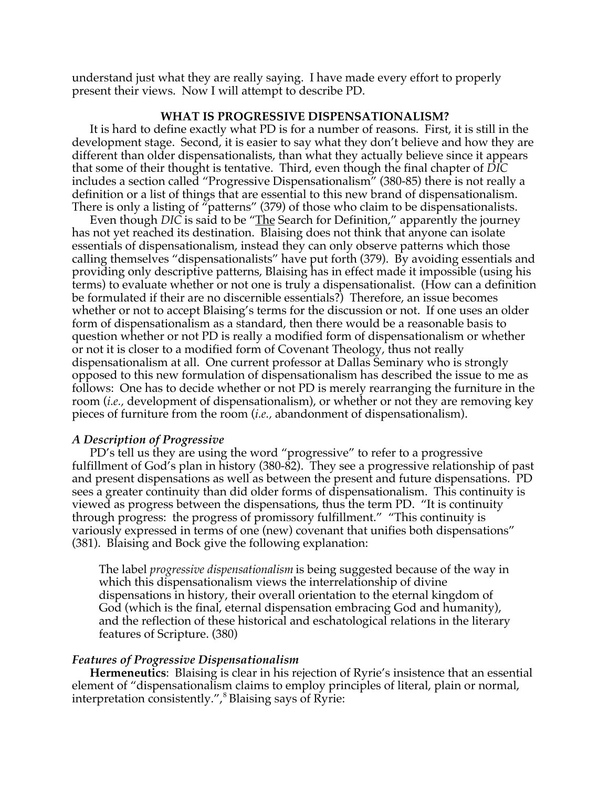understand just what they are really saying. I have made every effort to properly present their views. Now I will attempt to describe PD.

## **WHAT IS PROGRESSIVE DISPENSATIONALISM?**

It is hard to define exactly what PD is for a number of reasons. First, it is still in the development stage. Second, it is easier to say what they don't believe and how they are different than older dispensationalists, than what they actually believe since it appears that some of their thought is tentative. Third, even though the final chapter of *DIC* includes a section called "Progressive Dispensationalism" (380-85) there is not really a definition or a list of things that are essential to this new brand of dispensationalism. There is only a listing of "patterns" (379) of those who claim to be dispensationalists.

Even though *DIC* is said to be "The Search for Definition," apparently the journey has not yet reached its destination. Blaising does not think that anyone can isolate essentials of dispensationalism, instead they can only observe patterns which those calling themselves "dispensationalists" have put forth (379). By avoiding essentials and providing only descriptive patterns, Blaising has in effect made it impossible (using his terms) to evaluate whether or not one is truly a dispensationalist. (How can a definition be formulated if their are no discernible essentials?) Therefore, an issue becomes whether or not to accept Blaising's terms for the discussion or not. If one uses an older form of dispensationalism as a standard, then there would be a reasonable basis to question whether or not PD is really a modified form of dispensationalism or whether or not it is closer to a modified form of Covenant Theology, thus not really dispensationalism at all. One current professor at Dallas Seminary who is strongly opposed to this new formulation of dispensationalism has described the issue to me as follows: One has to decide whether or not PD is merely rearranging the furniture in the room (*i.e.,* development of dispensationalism), or whether or not they are removing key pieces of furniture from the room (*i.e.,* abandonment of dispensationalism).

#### *A Description of Progressive*

PD's tell us they are using the word "progressive" to refer to a progressive fulfillment of God's plan in history (380-82). They see a progressive relationship of past and present dispensations as well as between the present and future dispensations. PD sees a greater continuity than did older forms of dispensationalism. This continuity is viewed as progress between the dispensations, thus the term PD. "It is continuity through progress: the progress of promissory fulfillment." "This continuity is variously expressed in terms of one (new) covenant that unifies both dispensations" (381). Blaising and Bock give the following explanation:

The label *progressive dispensationalism* is being suggested because of the way in which this dispensationalism views the interrelationship of divine dispensations in history, their overall orientation to the eternal kingdom of God (which is the final, eternal dispensation embracing God and humanity), and the reflection of these historical and eschatological relations in the literary features of Scripture. (380)

#### *Features of Progressive Dispensationalism*

**Hermeneutics**: Blaising is clear in his rejection of Ryrie's insistence that an essential element of "dispensationalism claims to employ principles of literal, plain or normal, interpretation consistently.",<sup>8</sup> Blaising says of Ryrie: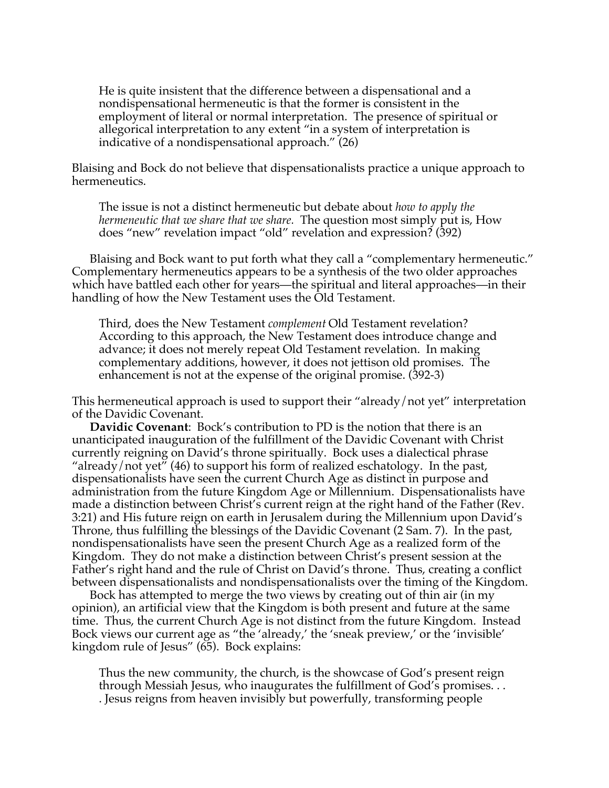He is quite insistent that the difference between a dispensational and a nondispensational hermeneutic is that the former is consistent in the employment of literal or normal interpretation. The presence of spiritual or allegorical interpretation to any extent "in a system of interpretation is indicative of a nondispensational approach." (26)

Blaising and Bock do not believe that dispensationalists practice a unique approach to hermeneutics.

The issue is not a distinct hermeneutic but debate about *how to apply the hermeneutic that we share that we share.* The question most simply put is, How does "new" revelation impact "old" revelation and expression? (392)

Blaising and Bock want to put forth what they call a "complementary hermeneutic." Complementary hermeneutics appears to be a synthesis of the two older approaches which have battled each other for years—the spiritual and literal approaches—in their handling of how the New Testament uses the Old Testament.

Third, does the New Testament *complement* Old Testament revelation? According to this approach, the New Testament does introduce change and advance; it does not merely repeat Old Testament revelation. In making complementary additions, however, it does not jettison old promises. The enhancement is not at the expense of the original promise. (392-3)

This hermeneutical approach is used to support their "already/not yet" interpretation of the Davidic Covenant.

**Davidic Covenant**: Bock's contribution to PD is the notion that there is an unanticipated inauguration of the fulfillment of the Davidic Covenant with Christ currently reigning on David's throne spiritually. Bock uses a dialectical phrase "already/not yet" (46) to support his form of realized eschatology. In the past, dispensationalists have seen the current Church Age as distinct in purpose and administration from the future Kingdom Age or Millennium. Dispensationalists have made a distinction between Christ's current reign at the right hand of the Father (Rev. 3:21) and His future reign on earth in Jerusalem during the Millennium upon David's Throne, thus fulfilling the blessings of the Davidic Covenant (2 Sam. 7). In the past, nondispensationalists have seen the present Church Age as a realized form of the Kingdom. They do not make a distinction between Christ's present session at the Father's right hand and the rule of Christ on David's throne. Thus, creating a conflict between dispensationalists and nondispensationalists over the timing of the Kingdom.

Bock has attempted to merge the two views by creating out of thin air (in my opinion), an artificial view that the Kingdom is both present and future at the same time. Thus, the current Church Age is not distinct from the future Kingdom. Instead Bock views our current age as "the 'already,' the 'sneak preview,' or the 'invisible' kingdom rule of Jesus" (65). Bock explains:

Thus the new community, the church, is the showcase of God's present reign through Messiah Jesus, who inaugurates the fulfillment of God's promises. . . . Jesus reigns from heaven invisibly but powerfully, transforming people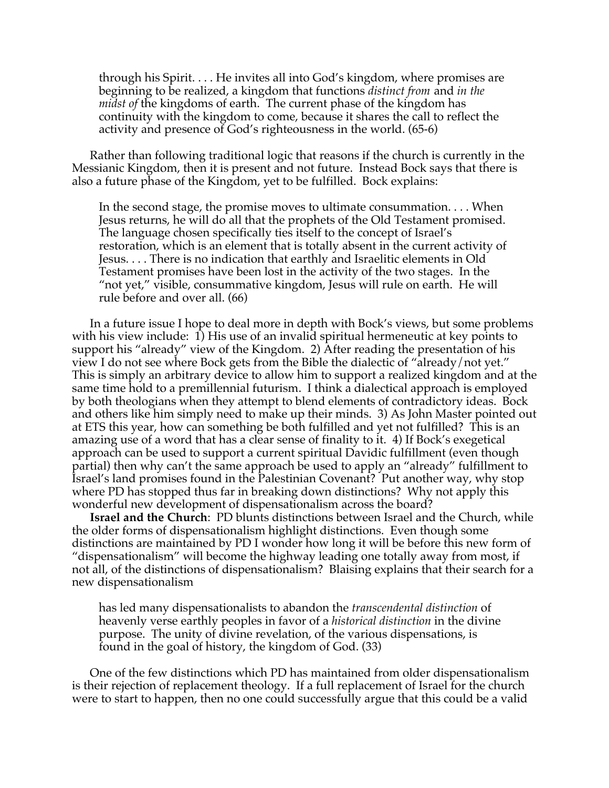through his Spirit. . . . He invites all into God's kingdom, where promises are beginning to be realized, a kingdom that functions *distinct from* and *in the midst of* the kingdoms of earth. The current phase of the kingdom has continuity with the kingdom to come, because it shares the call to reflect the activity and presence of God's righteousness in the world. (65-6)

Rather than following traditional logic that reasons if the church is currently in the Messianic Kingdom, then it is present and not future. Instead Bock says that there is also a future phase of the Kingdom, yet to be fulfilled. Bock explains:

In the second stage, the promise moves to ultimate consummation. . . . When Jesus returns, he will do all that the prophets of the Old Testament promised. The language chosen specifically ties itself to the concept of Israel's restoration, which is an element that is totally absent in the current activity of Jesus. . . . There is no indication that earthly and Israelitic elements in Old Testament promises have been lost in the activity of the two stages. In the "not yet," visible, consummative kingdom, Jesus will rule on earth. He will rule before and over all. (66)

In a future issue I hope to deal more in depth with Bock's views, but some problems with his view include: 1) His use of an invalid spiritual hermeneutic at key points to support his "already" view of the Kingdom. 2) After reading the presentation of his view I do not see where Bock gets from the Bible the dialectic of "already/not yet." This is simply an arbitrary device to allow him to support a realized kingdom and at the same time hold to a premillennial futurism. I think a dialectical approach is employed by both theologians when they attempt to blend elements of contradictory ideas. Bock and others like him simply need to make up their minds. 3) As John Master pointed out at ETS this year, how can something be both fulfilled and yet not fulfilled? This is an amazing use of a word that has a clear sense of finality to it. 4) If Bock's exegetical approach can be used to support a current spiritual Davidic fulfillment (even though partial) then why can't the same approach be used to apply an "already" fulfillment to Israel's land promises found in the Palestinian Covenant? Put another way, why stop where PD has stopped thus far in breaking down distinctions? Why not apply this wonderful new development of dispensationalism across the board?

**Israel and the Church**: PD blunts distinctions between Israel and the Church, while the older forms of dispensationalism highlight distinctions. Even though some distinctions are maintained by PD I wonder how long it will be before this new form of "dispensationalism" will become the highway leading one totally away from most, if not all, of the distinctions of dispensationalism? Blaising explains that their search for a new dispensationalism

has led many dispensationalists to abandon the *transcendental distinction* of heavenly verse earthly peoples in favor of a *historical distinction* in the divine purpose. The unity of divine revelation, of the various dispensations, is found in the goal of history, the kingdom of God. (33)

One of the few distinctions which PD has maintained from older dispensationalism is their rejection of replacement theology. If a full replacement of Israel for the church were to start to happen, then no one could successfully argue that this could be a valid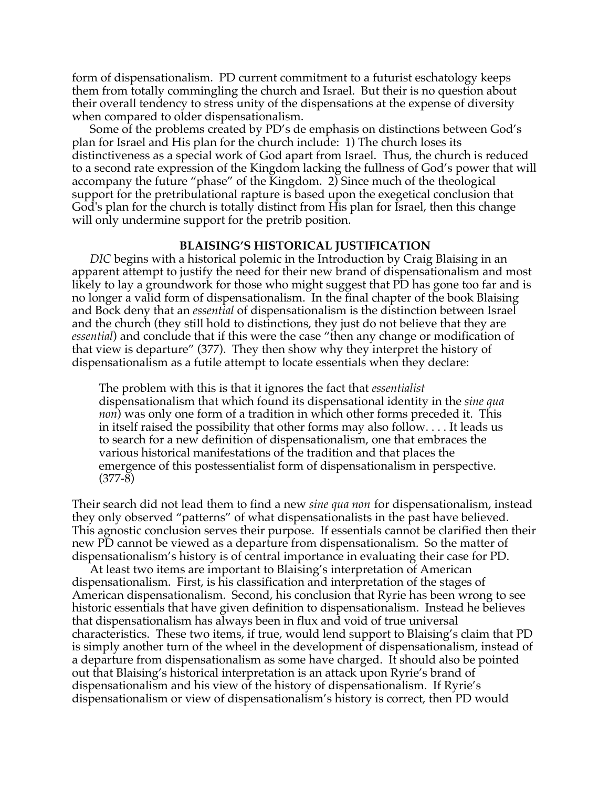form of dispensationalism. PD current commitment to a futurist eschatology keeps them from totally commingling the church and Israel. But their is no question about their overall tendency to stress unity of the dispensations at the expense of diversity when compared to older dispensationalism.

Some of the problems created by PD's de emphasis on distinctions between God's plan for Israel and His plan for the church include: 1) The church loses its distinctiveness as a special work of God apart from Israel. Thus, the church is reduced to a second rate expression of the Kingdom lacking the fullness of God's power that will accompany the future "phase" of the Kingdom. 2) Since much of the theological support for the pretribulational rapture is based upon the exegetical conclusion that God's plan for the church is totally distinct from His plan for Israel, then this change will only undermine support for the pretrib position.

## **BLAISING'S HISTORICAL JUSTIFICATION**

*DIC* begins with a historical polemic in the Introduction by Craig Blaising in an apparent attempt to justify the need for their new brand of dispensationalism and most likely to lay a groundwork for those who might suggest that PD has gone too far and is no longer a valid form of dispensationalism. In the final chapter of the book Blaising and Bock deny that an *essential* of dispensationalism is the distinction between Israel and the church (they still hold to distinctions, they just do not believe that they are *essential*) and conclude that if this were the case "then any change or modification of that view is departure" (377). They then show why they interpret the history of dispensationalism as a futile attempt to locate essentials when they declare:

The problem with this is that it ignores the fact that *essentialist* dispensationalism that which found its dispensational identity in the *sine qua non*) was only one form of a tradition in which other forms preceded it. This in itself raised the possibility that other forms may also follow. . . . It leads us to search for a new definition of dispensationalism, one that embraces the various historical manifestations of the tradition and that places the emergence of this postessentialist form of dispensationalism in perspective. (377-8)

Their search did not lead them to find a new *sine qua non* for dispensationalism, instead they only observed "patterns" of what dispensationalists in the past have believed. This agnostic conclusion serves their purpose. If essentials cannot be clarified then their new PD cannot be viewed as a departure from dispensationalism. So the matter of dispensationalism's history is of central importance in evaluating their case for PD.

At least two items are important to Blaising's interpretation of American dispensationalism. First, is his classification and interpretation of the stages of American dispensationalism. Second, his conclusion that Ryrie has been wrong to see historic essentials that have given definition to dispensationalism. Instead he believes that dispensationalism has always been in flux and void of true universal characteristics. These two items, if true, would lend support to Blaising's claim that PD is simply another turn of the wheel in the development of dispensationalism, instead of a departure from dispensationalism as some have charged. It should also be pointed out that Blaising's historical interpretation is an attack upon Ryrie's brand of dispensationalism and his view of the history of dispensationalism. If Ryrie's dispensationalism or view of dispensationalism's history is correct, then PD would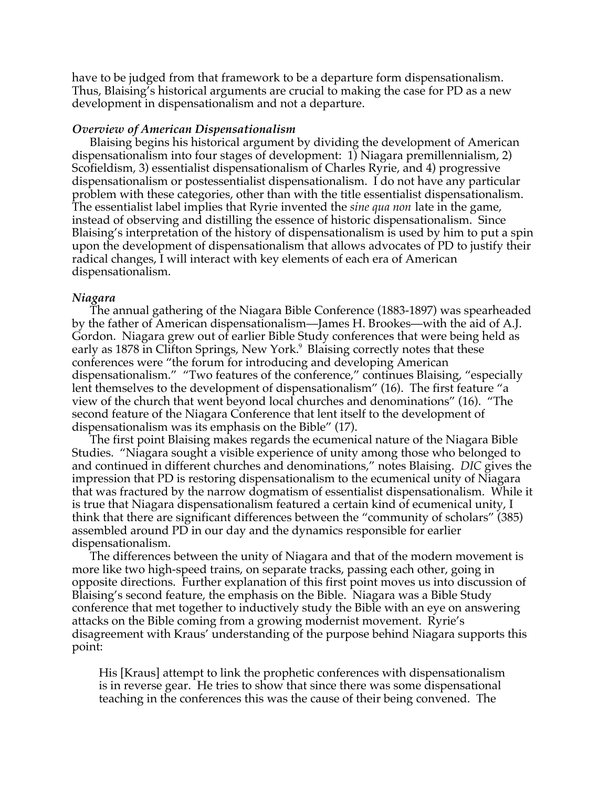have to be judged from that framework to be a departure form dispensationalism. Thus, Blaising's historical arguments are crucial to making the case for PD as a new development in dispensationalism and not a departure.

## *Overview of American Dispensationalism*

Blaising begins his historical argument by dividing the development of American dispensationalism into four stages of development: 1) Niagara premillennialism, 2) Scofieldism, 3) essentialist dispensationalism of Charles Ryrie, and 4) progressive dispensationalism or postessentialist dispensationalism. I do not have any particular problem with these categories, other than with the title essentialist dispensationalism. The essentialist label implies that Ryrie invented the *sine qua non* late in the game, instead of observing and distilling the essence of historic dispensationalism. Since Blaising's interpretation of the history of dispensationalism is used by him to put a spin upon the development of dispensationalism that allows advocates of PD to justify their radical changes, I will interact with key elements of each era of American dispensationalism.

### *Niagara*

The annual gathering of the Niagara Bible Conference (1883-1897) was spearheaded by the father of American dispensationalism—James H. Brookes—with the aid of A.J. Gordon. Niagara grew out of earlier Bible Study conferences that were being held as early as 1878 in Clifton Springs, New York.<sup>9</sup> Blaising correctly notes that these conferences were "the forum for introducing and developing American dispensationalism." "Two features of the conference," continues Blaising, "especially lent themselves to the development of dispensationalism" (16). The first feature "a view of the church that went beyond local churches and denominations" (16). "The second feature of the Niagara Conference that lent itself to the development of dispensationalism was its emphasis on the Bible" (17).

The first point Blaising makes regards the ecumenical nature of the Niagara Bible Studies. "Niagara sought a visible experience of unity among those who belonged to and continued in different churches and denominations," notes Blaising. *DIC* gives the impression that PD is restoring dispensationalism to the ecumenical unity of Niagara that was fractured by the narrow dogmatism of essentialist dispensationalism. While it is true that Niagara dispensationalism featured a certain kind of ecumenical unity, I think that there are significant differences between the "community of scholars" (385) assembled around PD in our day and the dynamics responsible for earlier dispensationalism.

The differences between the unity of Niagara and that of the modern movement is more like two high-speed trains, on separate tracks, passing each other, going in opposite directions. Further explanation of this first point moves us into discussion of Blaising's second feature, the emphasis on the Bible. Niagara was a Bible Study conference that met together to inductively study the Bible with an eye on answering attacks on the Bible coming from a growing modernist movement. Ryrie's disagreement with Kraus' understanding of the purpose behind Niagara supports this point:

His [Kraus] attempt to link the prophetic conferences with dispensationalism is in reverse gear. He tries to show that since there was some dispensational teaching in the conferences this was the cause of their being convened. The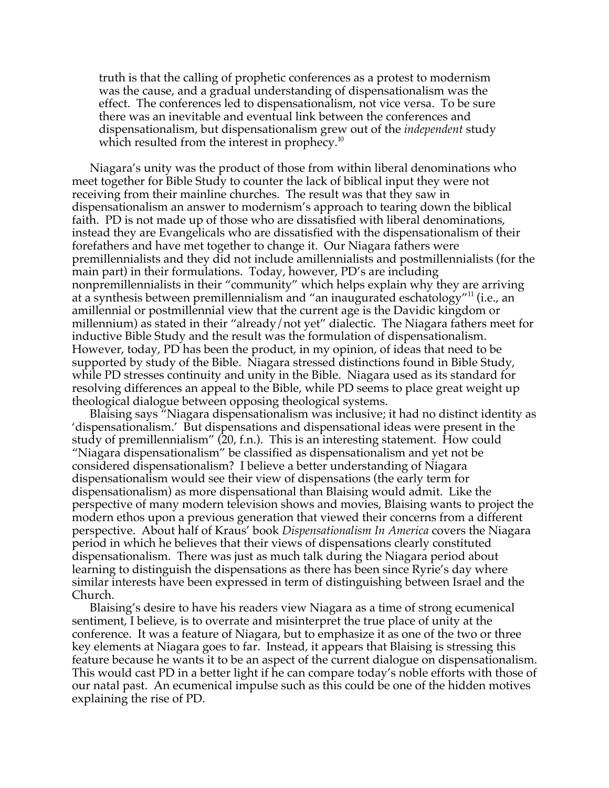truth is that the calling of prophetic conferences as a protest to modernism was the cause, and a gradual understanding of dispensationalism was the effect. The conferences led to dispensationalism, not vice versa. To be sure there was an inevitable and eventual link between the conferences and dispensationalism, but dispensationalism grew out of the *independent* study which resulted from the interest in prophecy.<sup>10</sup>

Niagara's unity was the product of those from within liberal denominations who meet together for Bible Study to counter the lack of biblical input they were not receiving from their mainline churches. The result was that they saw in dispensationalism an answer to modernism's approach to tearing down the biblical faith. PD is not made up of those who are dissatisfied with liberal denominations, instead they are Evangelicals who are dissatisfied with the dispensationalism of their forefathers and have met together to change it. Our Niagara fathers were premillennialists and they did not include amillennialists and postmillennialists (for the main part) in their formulations. Today, however, PD's are including nonpremillennialists in their "community" which helps explain why they are arriving at a synthesis between premillennialism and "an inaugurated eschatology"11 (i.e., an amillennial or postmillennial view that the current age is the Davidic kingdom or millennium) as stated in their "already/not yet" dialectic. The Niagara fathers meet for inductive Bible Study and the result was the formulation of dispensationalism. However, today, PD has been the product, in my opinion, of ideas that need to be supported by study of the Bible. Niagara stressed distinctions found in Bible Study, while PD stresses continuity and unity in the Bible. Niagara used as its standard for resolving differences an appeal to the Bible, while PD seems to place great weight up theological dialogue between opposing theological systems.

Blaising says "Niagara dispensationalism was inclusive; it had no distinct identity as 'dispensationalism.' But dispensations and dispensational ideas were present in the study of premillennialism" (20, f.n.). This is an interesting statement. How could "Niagara dispensationalism" be classified as dispensationalism and yet not be considered dispensationalism? I believe a better understanding of Niagara dispensationalism would see their view of dispensations (the early term for dispensationalism) as more dispensational than Blaising would admit. Like the perspective of many modern television shows and movies, Blaising wants to project the modern ethos upon a previous generation that viewed their concerns from a different perspective. About half of Kraus' book *Dispensationalism In America* covers the Niagara period in which he believes that their views of dispensations clearly constituted dispensationalism. There was just as much talk during the Niagara period about learning to distinguish the dispensations as there has been since Ryrie's day where similar interests have been expressed in term of distinguishing between Israel and the Church.

Blaising's desire to have his readers view Niagara as a time of strong ecumenical sentiment, I believe, is to overrate and misinterpret the true place of unity at the conference. It was a feature of Niagara, but to emphasize it as one of the two or three key elements at Niagara goes to far. Instead, it appears that Blaising is stressing this feature because he wants it to be an aspect of the current dialogue on dispensationalism. This would cast PD in a better light if he can compare today's noble efforts with those of our natal past. An ecumenical impulse such as this could be one of the hidden motives explaining the rise of PD.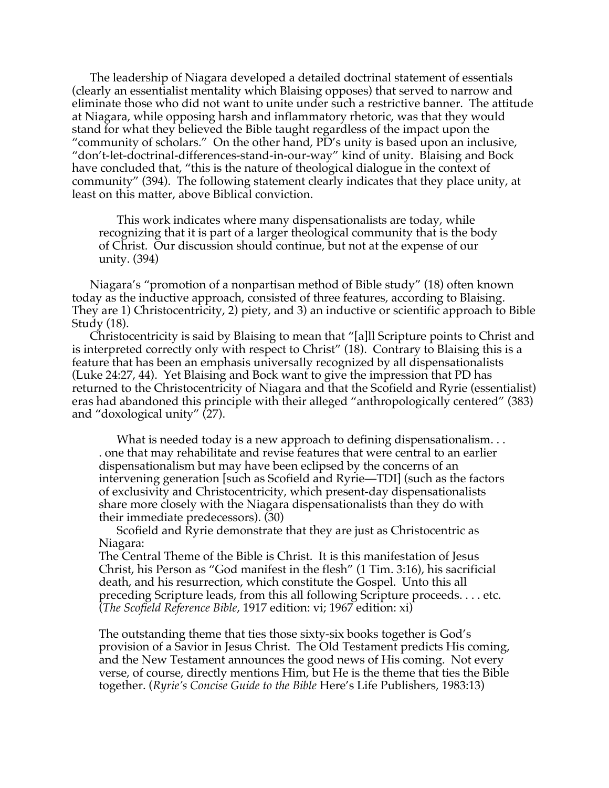The leadership of Niagara developed a detailed doctrinal statement of essentials (clearly an essentialist mentality which Blaising opposes) that served to narrow and eliminate those who did not want to unite under such a restrictive banner. The attitude at Niagara, while opposing harsh and inflammatory rhetoric, was that they would stand for what they believed the Bible taught regardless of the impact upon the "community of scholars." On the other hand, PD's unity is based upon an inclusive, "don't-let-doctrinal-differences-stand-in-our-way" kind of unity. Blaising and Bock have concluded that, "this is the nature of theological dialogue in the context of community" (394). The following statement clearly indicates that they place unity, at least on this matter, above Biblical conviction.

This work indicates where many dispensationalists are today, while recognizing that it is part of a larger theological community that is the body of Christ. Our discussion should continue, but not at the expense of our unity. (394)

Niagara's "promotion of a nonpartisan method of Bible study" (18) often known today as the inductive approach, consisted of three features, according to Blaising. They are 1) Christocentricity, 2) piety, and 3) an inductive or scientific approach to Bible Study (18).

Christocentricity is said by Blaising to mean that "[a]ll Scripture points to Christ and is interpreted correctly only with respect to Christ" (18). Contrary to Blaising this is a feature that has been an emphasis universally recognized by all dispensationalists (Luke 24:27, 44). Yet Blaising and Bock want to give the impression that PD has returned to the Christocentricity of Niagara and that the Scofield and Ryrie (essentialist) eras had abandoned this principle with their alleged "anthropologically centered" (383) and "doxological unity" (27).

What is needed today is a new approach to defining dispensationalism... . one that may rehabilitate and revise features that were central to an earlier dispensationalism but may have been eclipsed by the concerns of an intervening generation [such as Scofield and Ryrie—TDI] (such as the factors of exclusivity and Christocentricity, which present-day dispensationalists share more closely with the Niagara dispensationalists than they do with their immediate predecessors). (30)

Scofield and Ryrie demonstrate that they are just as Christocentric as Niagara:

The Central Theme of the Bible is Christ. It is this manifestation of Jesus Christ, his Person as "God manifest in the flesh" (1 Tim. 3:16), his sacrificial death, and his resurrection, which constitute the Gospel. Unto this all preceding Scripture leads, from this all following Scripture proceeds. . . . etc. (*The Scofield Reference Bible*, 1917 edition: vi; 1967 edition: xi)

The outstanding theme that ties those sixty-six books together is God's provision of a Savior in Jesus Christ. The Old Testament predicts His coming, and the New Testament announces the good news of His coming. Not every verse, of course, directly mentions Him, but He is the theme that ties the Bible together. (*Ryrie's Concise Guide to the Bible* Here's Life Publishers, 1983:13)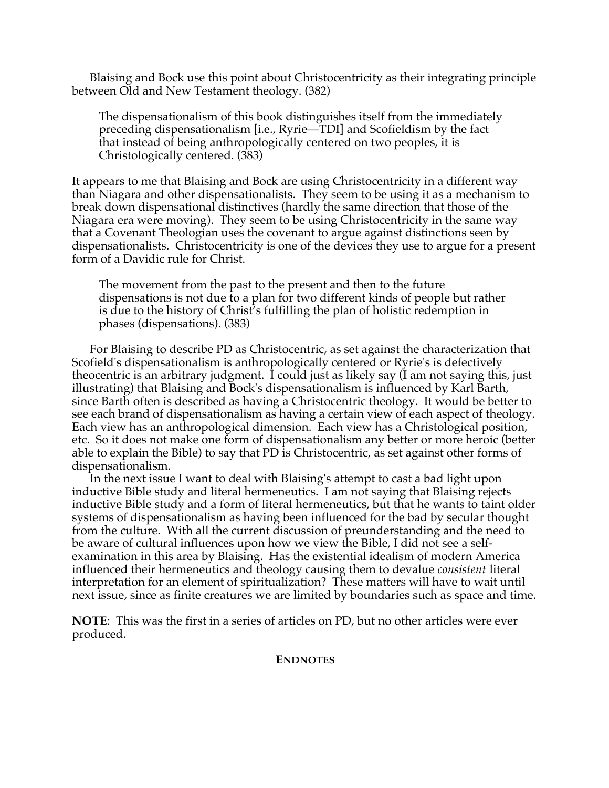Blaising and Bock use this point about Christocentricity as their integrating principle between Old and New Testament theology. (382)

The dispensationalism of this book distinguishes itself from the immediately preceding dispensationalism [i.e., Ryrie—TDI] and Scofieldism by the fact that instead of being anthropologically centered on two peoples, it is Christologically centered. (383)

It appears to me that Blaising and Bock are using Christocentricity in a different way than Niagara and other dispensationalists. They seem to be using it as a mechanism to break down dispensational distinctives (hardly the same direction that those of the Niagara era were moving). They seem to be using Christocentricity in the same way that a Covenant Theologian uses the covenant to argue against distinctions seen by dispensationalists. Christocentricity is one of the devices they use to argue for a present form of a Davidic rule for Christ.

The movement from the past to the present and then to the future dispensations is not due to a plan for two different kinds of people but rather is due to the history of Christ's fulfilling the plan of holistic redemption in phases (dispensations). (383)

For Blaising to describe PD as Christocentric, as set against the characterization that Scofield's dispensationalism is anthropologically centered or Ryrie's is defectively theocentric is an arbitrary judgment. I could just as likely say (I am not saying this, just illustrating) that Blaising and Bock's dispensationalism is influenced by Karl Barth, since Barth often is described as having a Christocentric theology. It would be better to see each brand of dispensationalism as having a certain view of each aspect of theology. Each view has an anthropological dimension. Each view has a Christological position, etc. So it does not make one form of dispensationalism any better or more heroic (better able to explain the Bible) to say that PD is Christocentric, as set against other forms of dispensationalism.

In the next issue I want to deal with Blaising's attempt to cast a bad light upon inductive Bible study and literal hermeneutics. I am not saying that Blaising rejects inductive Bible study and a form of literal hermeneutics, but that he wants to taint older systems of dispensationalism as having been influenced for the bad by secular thought from the culture. With all the current discussion of preunderstanding and the need to be aware of cultural influences upon how we view the Bible, I did not see a selfexamination in this area by Blaising. Has the existential idealism of modern America influenced their hermeneutics and theology causing them to devalue *consistent* literal interpretation for an element of spiritualization? These matters will have to wait until next issue, since as finite creatures we are limited by boundaries such as space and time.

**NOTE**: This was the first in a series of articles on PD, but no other articles were ever produced.

**ENDNOTES**